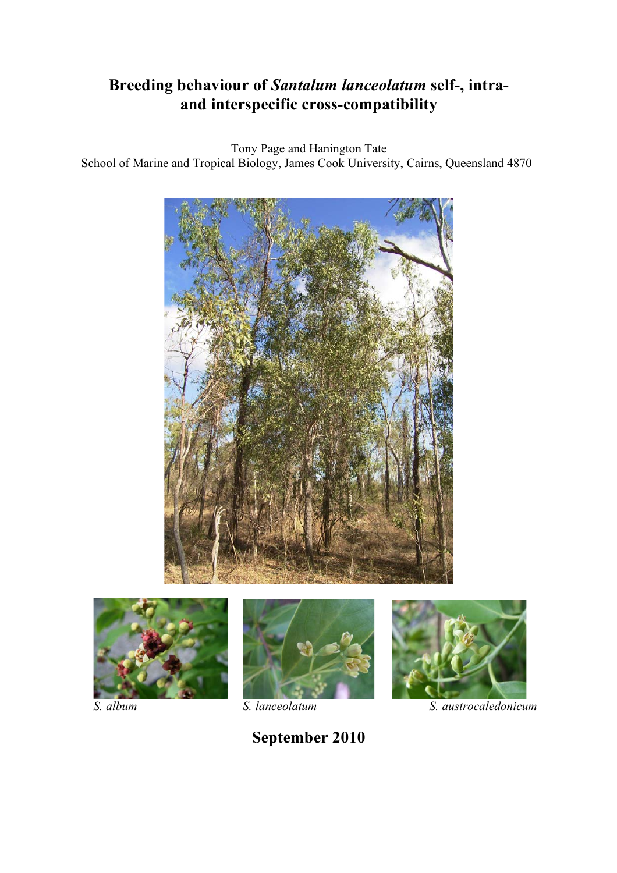# **Breeding behaviour of** *Santalum lanceolatum* **self-, intraand interspecific cross-compatibility**

Tony Page and Hanington Tate School of Marine and Tropical Biology, James Cook University, Cairns, Queensland 4870











*S. album S. lanceolatum S. austrocaledonicum*

**September 2010**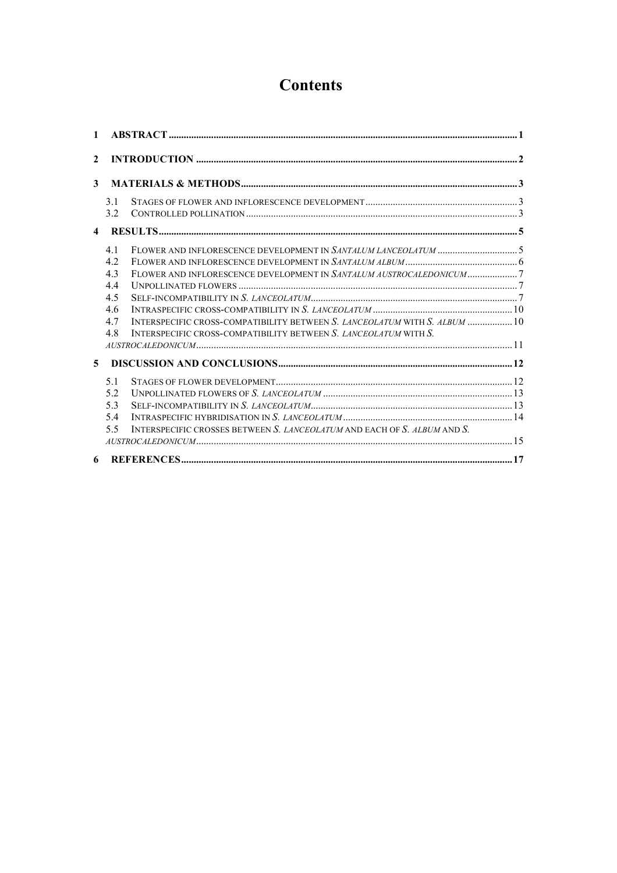# **Contents**

| $\mathbf{1}$   |     |                                                                            |  |  |
|----------------|-----|----------------------------------------------------------------------------|--|--|
| $\mathbf{2}$   |     |                                                                            |  |  |
| 3              |     |                                                                            |  |  |
|                | 3.1 |                                                                            |  |  |
|                | 32  |                                                                            |  |  |
| $\overline{4}$ |     |                                                                            |  |  |
|                | 41  |                                                                            |  |  |
|                | 42  |                                                                            |  |  |
|                | 43  | FLOWER AND INFLORESCENCE DEVELOPMENT IN SANTALUM AUSTROCALEDONICUM7        |  |  |
|                | 44  |                                                                            |  |  |
|                | 4.5 |                                                                            |  |  |
|                | 4.6 |                                                                            |  |  |
|                | 47  | INTERSPECIFIC CROSS-COMPATIBILITY BETWEEN S. LANCEOLATUM WITH S. ALBUM  10 |  |  |
|                | 48  | INTERSPECIFIC CROSS-COMPATIBILITY BETWEEN S. LANCEOLATUM WITH S.           |  |  |
|                |     |                                                                            |  |  |
| 5              |     |                                                                            |  |  |
|                | 5.1 |                                                                            |  |  |
|                | 5.2 |                                                                            |  |  |
|                | 53  |                                                                            |  |  |
|                | 54  |                                                                            |  |  |
|                | 55  | INTERSPECIFIC CROSSES BETWEEN S. LANCEOLATUM AND EACH OF S. ALBUM AND S.   |  |  |
|                |     |                                                                            |  |  |
| 6              |     |                                                                            |  |  |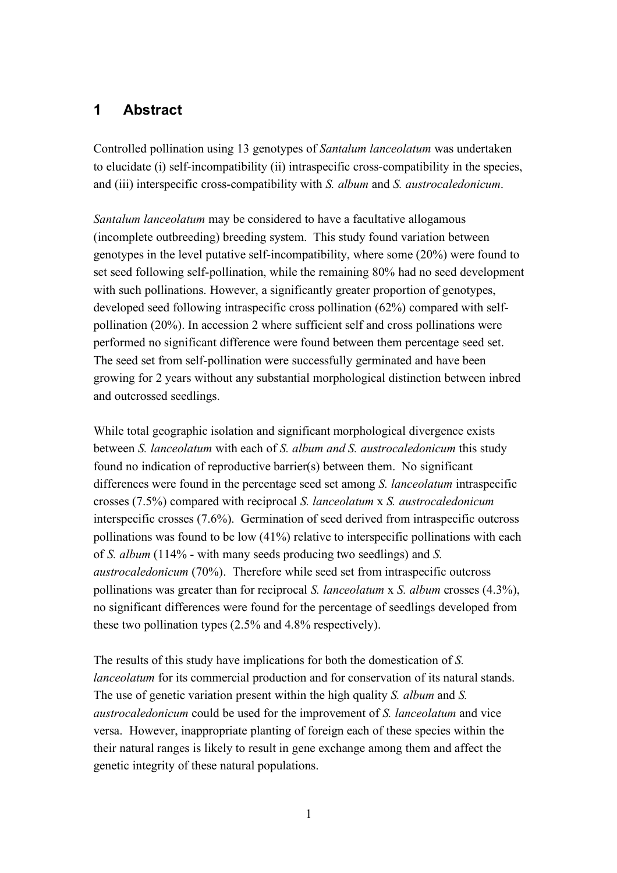# **1 Abstract**

Controlled pollination using 13 genotypes of *Santalum lanceolatum* was undertaken to elucidate (i) self-incompatibility (ii) intraspecific cross-compatibility in the species, and (iii) interspecific cross-compatibility with *S. album* and *S. austrocaledonicum*.

*Santalum lanceolatum* may be considered to have a facultative allogamous (incomplete outbreeding) breeding system. This study found variation between genotypes in the level putative self-incompatibility, where some (20%) were found to set seed following self-pollination, while the remaining 80% had no seed development with such pollinations. However, a significantly greater proportion of genotypes, developed seed following intraspecific cross pollination (62%) compared with selfpollination (20%). In accession 2 where sufficient self and cross pollinations were performed no significant difference were found between them percentage seed set. The seed set from self-pollination were successfully germinated and have been growing for 2 years without any substantial morphological distinction between inbred and outcrossed seedlings.

While total geographic isolation and significant morphological divergence exists between *S. lanceolatum* with each of *S. album and S. austrocaledonicum* this study found no indication of reproductive barrier(s) between them. No significant differences were found in the percentage seed set among *S. lanceolatum* intraspecific crosses (7.5%) compared with reciprocal *S. lanceolatum* x *S. austrocaledonicum* interspecific crosses (7.6%). Germination of seed derived from intraspecific outcross pollinations was found to be low (41%) relative to interspecific pollinations with each of *S. album* (114% - with many seeds producing two seedlings) and *S. austrocaledonicum* (70%). Therefore while seed set from intraspecific outcross pollinations was greater than for reciprocal *S. lanceolatum* x *S. album* crosses (4.3%), no significant differences were found for the percentage of seedlings developed from these two pollination types (2.5% and 4.8% respectively).

The results of this study have implications for both the domestication of *S. lanceolatum* for its commercial production and for conservation of its natural stands. The use of genetic variation present within the high quality *S. album* and *S. austrocaledonicum* could be used for the improvement of *S. lanceolatum* and vice versa. However, inappropriate planting of foreign each of these species within the their natural ranges is likely to result in gene exchange among them and affect the genetic integrity of these natural populations.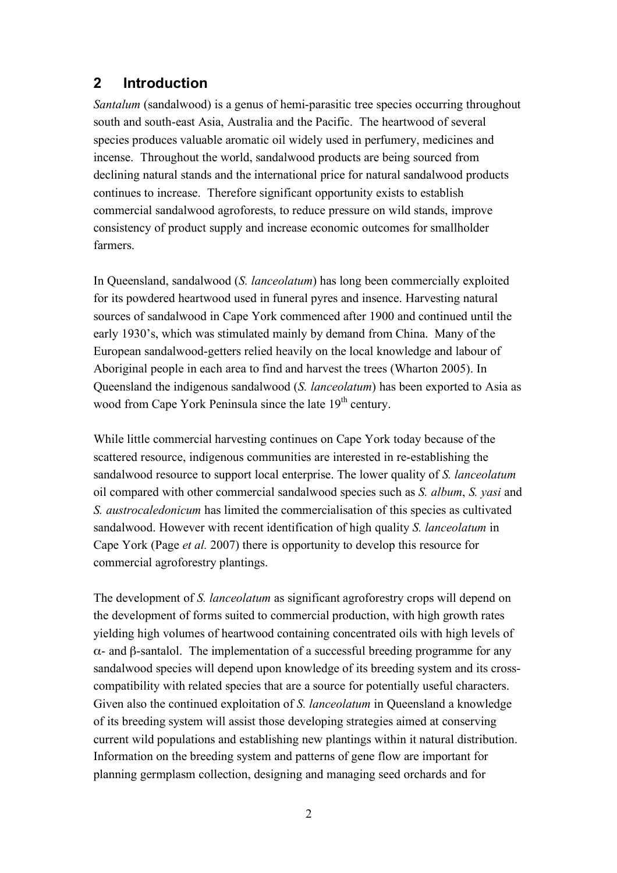## **2 Introduction**

*Santalum* (sandalwood) is a genus of hemi-parasitic tree species occurring throughout south and south-east Asia, Australia and the Pacific. The heartwood of several species produces valuable aromatic oil widely used in perfumery, medicines and incense. Throughout the world, sandalwood products are being sourced from declining natural stands and the international price for natural sandalwood products continues to increase. Therefore significant opportunity exists to establish commercial sandalwood agroforests, to reduce pressure on wild stands, improve consistency of product supply and increase economic outcomes for smallholder farmers.

In Queensland, sandalwood (*S. lanceolatum*) has long been commercially exploited for its powdered heartwood used in funeral pyres and insence. Harvesting natural sources of sandalwood in Cape York commenced after 1900 and continued until the early 1930's, which was stimulated mainly by demand from China. Many of the European sandalwood-getters relied heavily on the local knowledge and labour of Aboriginal people in each area to find and harvest the trees (Wharton 2005). In Queensland the indigenous sandalwood (*S. lanceolatum*) has been exported to Asia as wood from Cape York Peninsula since the late 19<sup>th</sup> century.

While little commercial harvesting continues on Cape York today because of the scattered resource, indigenous communities are interested in re-establishing the sandalwood resource to support local enterprise. The lower quality of *S. lanceolatum* oil compared with other commercial sandalwood species such as *S. album*, *S. yasi* and *S. austrocaledonicum* has limited the commercialisation of this species as cultivated sandalwood. However with recent identification of high quality *S. lanceolatum* in Cape York (Page *et al.* 2007) there is opportunity to develop this resource for commercial agroforestry plantings.

The development of *S. lanceolatum* as significant agroforestry crops will depend on the development of forms suited to commercial production, with high growth rates yielding high volumes of heartwood containing concentrated oils with high levels of α- and β-santalol. The implementation of a successful breeding programme for any sandalwood species will depend upon knowledge of its breeding system and its crosscompatibility with related species that are a source for potentially useful characters. Given also the continued exploitation of *S. lanceolatum* in Queensland a knowledge of its breeding system will assist those developing strategies aimed at conserving current wild populations and establishing new plantings within it natural distribution. Information on the breeding system and patterns of gene flow are important for planning germplasm collection, designing and managing seed orchards and for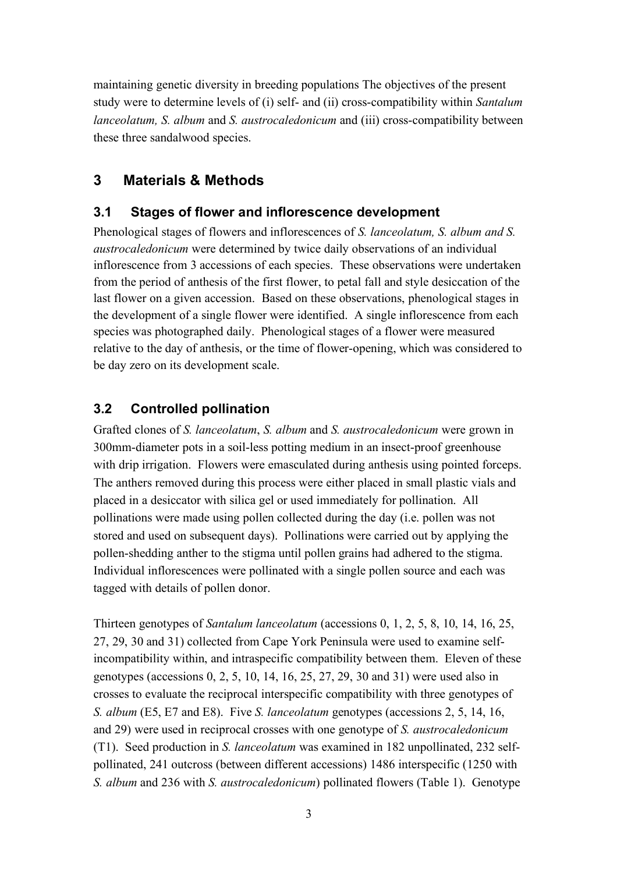maintaining genetic diversity in breeding populations The objectives of the present study were to determine levels of (i) self- and (ii) cross-compatibility within *Santalum lanceolatum, S. album* and *S. austrocaledonicum* and (iii) cross-compatibility between these three sandalwood species.

# **3 Materials & Methods**

## **3.1 Stages of flower and inflorescence development**

Phenological stages of flowers and inflorescences of *S. lanceolatum, S. album and S. austrocaledonicum* were determined by twice daily observations of an individual inflorescence from 3 accessions of each species. These observations were undertaken from the period of anthesis of the first flower, to petal fall and style desiccation of the last flower on a given accession. Based on these observations, phenological stages in the development of a single flower were identified. A single inflorescence from each species was photographed daily. Phenological stages of a flower were measured relative to the day of anthesis, or the time of flower-opening, which was considered to be day zero on its development scale.

## **3.2 Controlled pollination**

Grafted clones of *S. lanceolatum*, *S. album* and *S. austrocaledonicum* were grown in 300mm-diameter pots in a soil-less potting medium in an insect-proof greenhouse with drip irrigation. Flowers were emasculated during anthesis using pointed forceps. The anthers removed during this process were either placed in small plastic vials and placed in a desiccator with silica gel or used immediately for pollination. All pollinations were made using pollen collected during the day (i.e. pollen was not stored and used on subsequent days). Pollinations were carried out by applying the pollen-shedding anther to the stigma until pollen grains had adhered to the stigma. Individual inflorescences were pollinated with a single pollen source and each was tagged with details of pollen donor.

Thirteen genotypes of *Santalum lanceolatum* (accessions 0, 1, 2, 5, 8, 10, 14, 16, 25, 27, 29, 30 and 31) collected from Cape York Peninsula were used to examine selfincompatibility within, and intraspecific compatibility between them. Eleven of these genotypes (accessions 0, 2, 5, 10, 14, 16, 25, 27, 29, 30 and 31) were used also in crosses to evaluate the reciprocal interspecific compatibility with three genotypes of *S. album* (E5, E7 and E8). Five *S. lanceolatum* genotypes (accessions 2, 5, 14, 16, and 29) were used in reciprocal crosses with one genotype of *S. austrocaledonicum* (T1). Seed production in *S. lanceolatum* was examined in 182 unpollinated, 232 selfpollinated, 241 outcross (between different accessions) 1486 interspecific (1250 with *S. album* and 236 with *S. austrocaledonicum*) pollinated flowers (Table 1). Genotype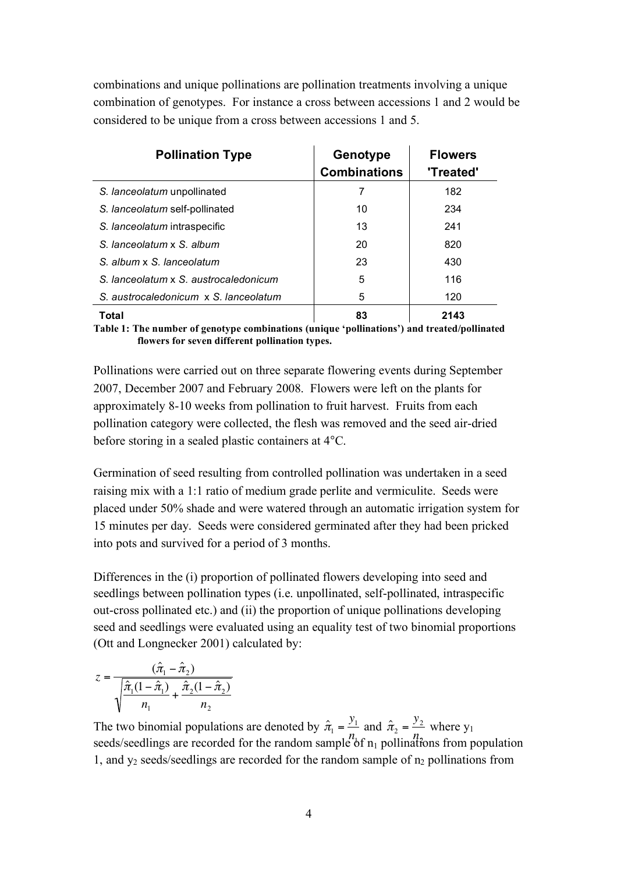combinations and unique pollinations are pollination treatments involving a unique combination of genotypes. For instance a cross between accessions 1 and 2 would be considered to be unique from a cross between accessions 1 and 5.

| <b>Pollination Type</b>               | Genotype<br><b>Combinations</b> | <b>Flowers</b><br>'Treated' |
|---------------------------------------|---------------------------------|-----------------------------|
| S. lanceolatum unpollinated           |                                 | 182                         |
| S. lanceolatum self-pollinated        | 10                              | 234                         |
| S. lanceolatum intraspecific          | 13                              | 241                         |
| S. lanceolatum x S. album             | 20                              | 820                         |
| S. album x S. lanceolatum             | 23                              | 430                         |
| S. lanceolatum x S. austrocaledonicum | 5                               | 116                         |
| S. austrocaledonicum x S. lanceolatum | 5                               | 120                         |
| Total                                 | 83                              | 2143                        |

**Table 1: The number of genotype combinations (unique 'pollinations') and treated/pollinated flowers for seven different pollination types.** 

Pollinations were carried out on three separate flowering events during September 2007, December 2007 and February 2008. Flowers were left on the plants for approximately 8-10 weeks from pollination to fruit harvest. Fruits from each pollination category were collected, the flesh was removed and the seed air-dried before storing in a sealed plastic containers at 4°C.

Germination of seed resulting from controlled pollination was undertaken in a seed raising mix with a 1:1 ratio of medium grade perlite and vermiculite. Seeds were placed under 50% shade and were watered through an automatic irrigation system for 15 minutes per day. Seeds were considered germinated after they had been pricked into pots and survived for a period of 3 months.

Differences in the (i) proportion of pollinated flowers developing into seed and seedlings between pollination types (i.e. unpollinated, self-pollinated, intraspecific out-cross pollinated etc.) and (ii) the proportion of unique pollinations developing seed and seedlings were evaluated using an equality test of two binomial proportions (Ott and Longnecker 2001) calculated by:

$$
z = \frac{(\hat{\pi}_1 - \hat{\pi}_2)}{\sqrt{\frac{\hat{\pi}_1(1 - \hat{\pi}_1)}{n_1} + \frac{\hat{\pi}_2(1 - \hat{\pi}_2)}{n_2}}}
$$

The two binomial populations are denoted by  $\hat{\pi}_1 = \frac{y_1}{y_1}$  and  $\hat{\pi}_2 = \frac{y_2}{y_1}$  where  $y_1$ seeds/seedlings are recorded for the random sample of  $n_1$  pollinations from population 1, and  $y_2$  seeds/seedlings are recorded for the random sample of  $n_2$  pollinations from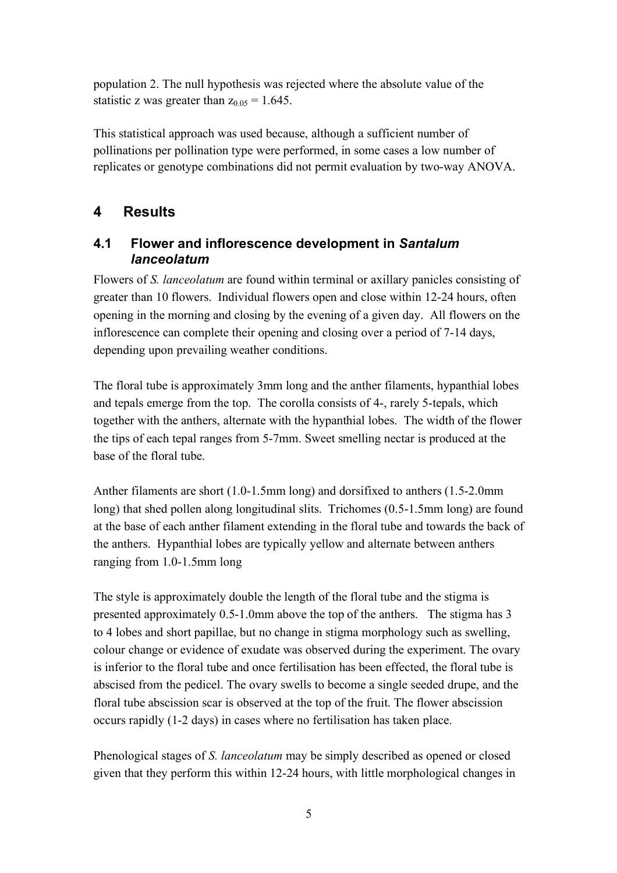population 2. The null hypothesis was rejected where the absolute value of the statistic z was greater than  $z_{0.05} = 1.645$ .

This statistical approach was used because, although a sufficient number of pollinations per pollination type were performed, in some cases a low number of replicates or genotype combinations did not permit evaluation by two-way ANOVA.

## **4 Results**

#### **4.1 Flower and inflorescence development in** *Santalum lanceolatum*

Flowers of *S. lanceolatum* are found within terminal or axillary panicles consisting of greater than 10 flowers. Individual flowers open and close within 12-24 hours, often opening in the morning and closing by the evening of a given day. All flowers on the inflorescence can complete their opening and closing over a period of 7-14 days, depending upon prevailing weather conditions.

The floral tube is approximately 3mm long and the anther filaments, hypanthial lobes and tepals emerge from the top. The corolla consists of 4-, rarely 5-tepals, which together with the anthers, alternate with the hypanthial lobes. The width of the flower the tips of each tepal ranges from 5-7mm. Sweet smelling nectar is produced at the base of the floral tube.

Anther filaments are short (1.0-1.5mm long) and dorsifixed to anthers (1.5-2.0mm long) that shed pollen along longitudinal slits. Trichomes (0.5-1.5mm long) are found at the base of each anther filament extending in the floral tube and towards the back of the anthers. Hypanthial lobes are typically yellow and alternate between anthers ranging from 1.0-1.5mm long

The style is approximately double the length of the floral tube and the stigma is presented approximately 0.5-1.0mm above the top of the anthers. The stigma has 3 to 4 lobes and short papillae, but no change in stigma morphology such as swelling, colour change or evidence of exudate was observed during the experiment. The ovary is inferior to the floral tube and once fertilisation has been effected, the floral tube is abscised from the pedicel. The ovary swells to become a single seeded drupe, and the floral tube abscission scar is observed at the top of the fruit. The flower abscission occurs rapidly (1-2 days) in cases where no fertilisation has taken place.

Phenological stages of *S. lanceolatum* may be simply described as opened or closed given that they perform this within 12-24 hours, with little morphological changes in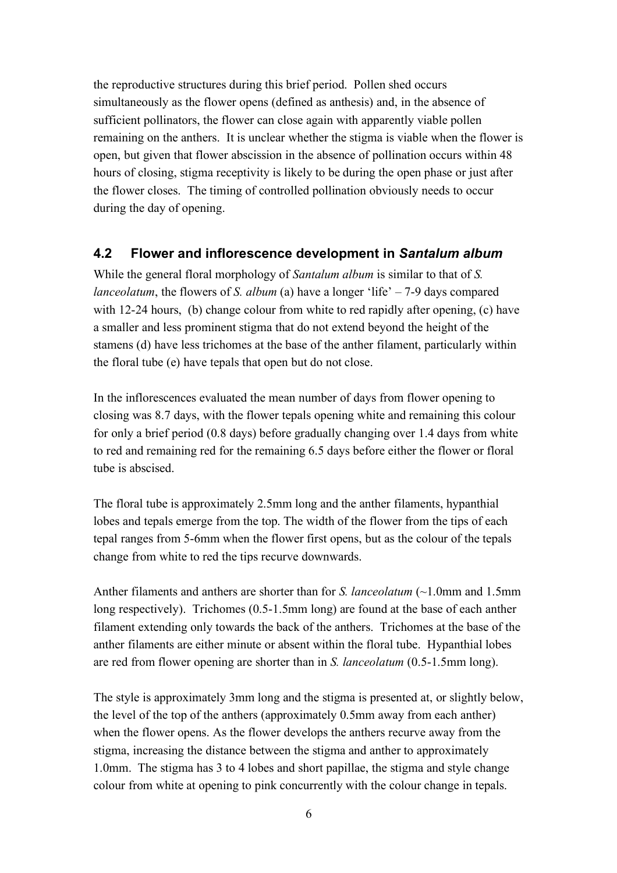the reproductive structures during this brief period. Pollen shed occurs simultaneously as the flower opens (defined as anthesis) and, in the absence of sufficient pollinators, the flower can close again with apparently viable pollen remaining on the anthers. It is unclear whether the stigma is viable when the flower is open, but given that flower abscission in the absence of pollination occurs within 48 hours of closing, stigma receptivity is likely to be during the open phase or just after the flower closes. The timing of controlled pollination obviously needs to occur during the day of opening.

#### **4.2 Flower and inflorescence development in** *Santalum album*

While the general floral morphology of *Santalum album* is similar to that of *S. lanceolatum*, the flowers of *S. album* (a) have a longer 'life' – 7-9 days compared with 12-24 hours, (b) change colour from white to red rapidly after opening, (c) have a smaller and less prominent stigma that do not extend beyond the height of the stamens (d) have less trichomes at the base of the anther filament, particularly within the floral tube (e) have tepals that open but do not close.

In the inflorescences evaluated the mean number of days from flower opening to closing was 8.7 days, with the flower tepals opening white and remaining this colour for only a brief period (0.8 days) before gradually changing over 1.4 days from white to red and remaining red for the remaining 6.5 days before either the flower or floral tube is abscised.

The floral tube is approximately 2.5mm long and the anther filaments, hypanthial lobes and tepals emerge from the top. The width of the flower from the tips of each tepal ranges from 5-6mm when the flower first opens, but as the colour of the tepals change from white to red the tips recurve downwards.

Anther filaments and anthers are shorter than for *S. lanceolatum* (~1.0mm and 1.5mm long respectively). Trichomes (0.5-1.5mm long) are found at the base of each anther filament extending only towards the back of the anthers. Trichomes at the base of the anther filaments are either minute or absent within the floral tube. Hypanthial lobes are red from flower opening are shorter than in *S. lanceolatum* (0.5-1.5mm long).

The style is approximately 3mm long and the stigma is presented at, or slightly below, the level of the top of the anthers (approximately 0.5mm away from each anther) when the flower opens. As the flower develops the anthers recurve away from the stigma, increasing the distance between the stigma and anther to approximately 1.0mm. The stigma has 3 to 4 lobes and short papillae, the stigma and style change colour from white at opening to pink concurrently with the colour change in tepals.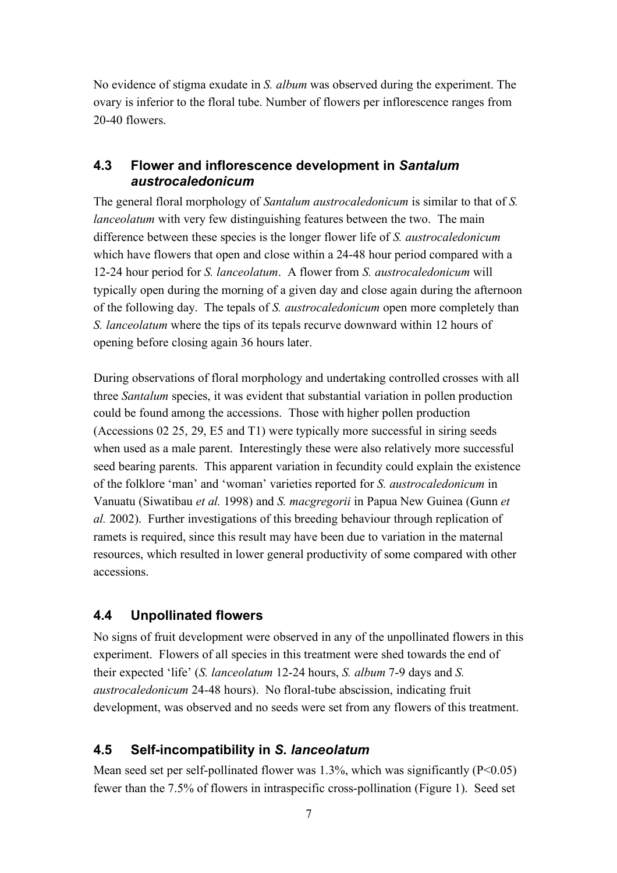No evidence of stigma exudate in *S. album* was observed during the experiment. The ovary is inferior to the floral tube. Number of flowers per inflorescence ranges from 20-40 flowers.

#### **4.3 Flower and inflorescence development in** *Santalum austrocaledonicum*

The general floral morphology of *Santalum austrocaledonicum* is similar to that of *S. lanceolatum* with very few distinguishing features between the two. The main difference between these species is the longer flower life of *S. austrocaledonicum* which have flowers that open and close within a 24-48 hour period compared with a 12-24 hour period for *S. lanceolatum*. A flower from *S. austrocaledonicum* will typically open during the morning of a given day and close again during the afternoon of the following day. The tepals of *S. austrocaledonicum* open more completely than *S. lanceolatum* where the tips of its tepals recurve downward within 12 hours of opening before closing again 36 hours later.

During observations of floral morphology and undertaking controlled crosses with all three *Santalum* species, it was evident that substantial variation in pollen production could be found among the accessions. Those with higher pollen production (Accessions 02 25, 29, E5 and T1) were typically more successful in siring seeds when used as a male parent. Interestingly these were also relatively more successful seed bearing parents. This apparent variation in fecundity could explain the existence of the folklore 'man' and 'woman' varieties reported for *S. austrocaledonicum* in Vanuatu (Siwatibau *et al.* 1998) and *S. macgregorii* in Papua New Guinea (Gunn *et al.* 2002). Further investigations of this breeding behaviour through replication of ramets is required, since this result may have been due to variation in the maternal resources, which resulted in lower general productivity of some compared with other accessions.

## **4.4 Unpollinated flowers**

No signs of fruit development were observed in any of the unpollinated flowers in this experiment. Flowers of all species in this treatment were shed towards the end of their expected 'life' (*S. lanceolatum* 12-24 hours, *S. album* 7-9 days and *S. austrocaledonicum* 24-48 hours). No floral-tube abscission, indicating fruit development, was observed and no seeds were set from any flowers of this treatment.

## **4.5 Self-incompatibility in** *S. lanceolatum*

Mean seed set per self-pollinated flower was 1.3%, which was significantly  $(P<0.05)$ fewer than the 7.5% of flowers in intraspecific cross-pollination (Figure 1). Seed set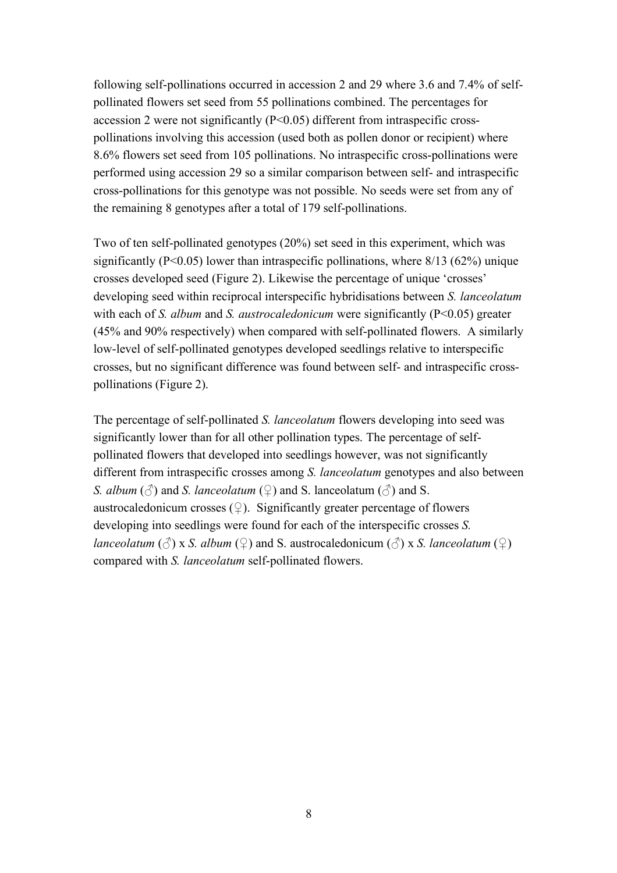following self-pollinations occurred in accession 2 and 29 where 3.6 and 7.4% of selfpollinated flowers set seed from 55 pollinations combined. The percentages for accession 2 were not significantly (P<0.05) different from intraspecific crosspollinations involving this accession (used both as pollen donor or recipient) where 8.6% flowers set seed from 105 pollinations. No intraspecific cross-pollinations were performed using accession 29 so a similar comparison between self- and intraspecific cross-pollinations for this genotype was not possible. No seeds were set from any of the remaining 8 genotypes after a total of 179 self-pollinations.

Two of ten self-pollinated genotypes (20%) set seed in this experiment, which was significantly ( $P \le 0.05$ ) lower than intraspecific pollinations, where  $8/13$  ( $62\%$ ) unique crosses developed seed (Figure 2). Likewise the percentage of unique 'crosses' developing seed within reciprocal interspecific hybridisations between *S. lanceolatum* with each of *S. album* and *S. austrocaledonicum* were significantly (P<0.05) greater (45% and 90% respectively) when compared with self-pollinated flowers. A similarly low-level of self-pollinated genotypes developed seedlings relative to interspecific crosses, but no significant difference was found between self- and intraspecific crosspollinations (Figure 2).

The percentage of self-pollinated *S. lanceolatum* flowers developing into seed was significantly lower than for all other pollination types. The percentage of selfpollinated flowers that developed into seedlings however, was not significantly different from intraspecific crosses among *S. lanceolatum* genotypes and also between *S. album* ( $\Diamond$ ) and *S. lanceolatum* ( $\Diamond$ ) and *S.* lanceolatum ( $\Diamond$ ) and *S.* austrocaledonicum crosses  $(\varphi)$ . Significantly greater percentage of flowers developing into seedlings were found for each of the interspecific crosses *S. lanceolatum* ( $\Diamond$ ) x *S. album* ( $\Diamond$ ) and *S.* austrocaledonicum ( $\Diamond$ ) x *S. lanceolatum* ( $\Diamond$ ) compared with *S. lanceolatum* self-pollinated flowers.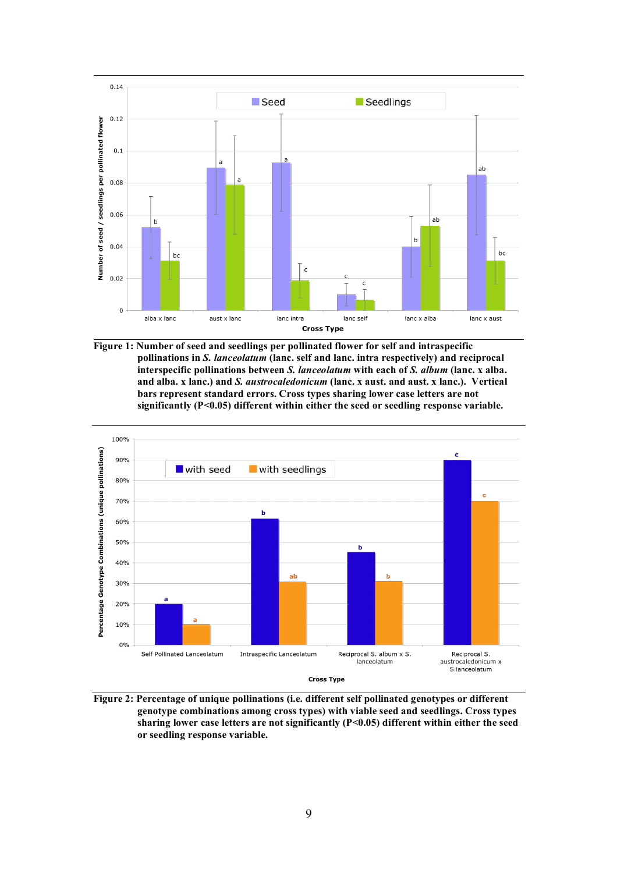

**Figure 1: Number of seed and seedlings per pollinated flower for self and intraspecific pollinations in** *S. lanceolatum* **(lanc. self and lanc. intra respectively) and reciprocal interspecific pollinations between** *S. lanceolatum* **with each of** *S. album* **(lanc. x alba. and alba. x lanc.) and** *S. austrocaledonicum* **(lanc. x aust. and aust. x lanc.). Vertical bars represent standard errors. Cross types sharing lower case letters are not significantly (P<0.05) different within either the seed or seedling response variable.** 



**Figure 2: Percentage of unique pollinations (i.e. different self pollinated genotypes or different genotype combinations among cross types) with viable seed and seedlings. Cross types sharing lower case letters are not significantly (P<0.05) different within either the seed or seedling response variable.**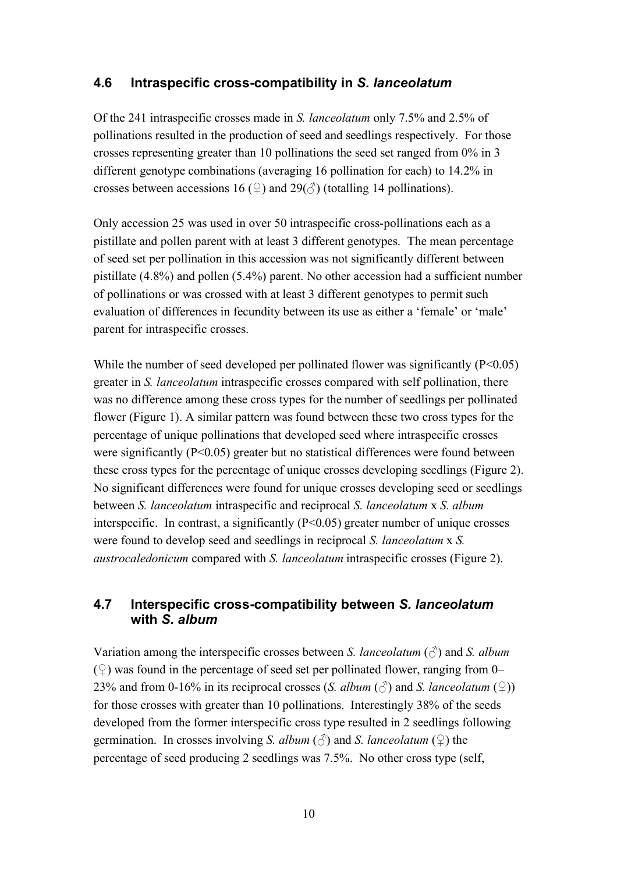#### **4.6 Intraspecific cross-compatibility in** *S. lanceolatum*

Of the 241 intraspecific crosses made in *S. lanceolatum* only 7.5% and 2.5% of pollinations resulted in the production of seed and seedlings respectively. For those crosses representing greater than 10 pollinations the seed set ranged from 0% in 3 different genotype combinations (averaging 16 pollination for each) to 14.2% in crosses between accessions 16 ( $\Omega$ ) and 29( $\varphi$ ) (totalling 14 pollinations).

Only accession 25 was used in over 50 intraspecific cross-pollinations each as a pistillate and pollen parent with at least 3 different genotypes. The mean percentage of seed set per pollination in this accession was not significantly different between pistillate (4.8%) and pollen (5.4%) parent. No other accession had a sufficient number of pollinations or was crossed with at least 3 different genotypes to permit such evaluation of differences in fecundity between its use as either a 'female' or 'male' parent for intraspecific crosses.

While the number of seed developed per pollinated flower was significantly  $(P<0.05)$ greater in *S. lanceolatum* intraspecific crosses compared with self pollination, there was no difference among these cross types for the number of seedlings per pollinated flower (Figure 1). A similar pattern was found between these two cross types for the percentage of unique pollinations that developed seed where intraspecific crosses were significantly (P<0.05) greater but no statistical differences were found between these cross types for the percentage of unique crosses developing seedlings (Figure 2). No significant differences were found for unique crosses developing seed or seedlings between *S. lanceolatum* intraspecific and reciprocal *S. lanceolatum* x *S. album* interspecific. In contrast, a significantly  $(P<0.05)$  greater number of unique crosses were found to develop seed and seedlings in reciprocal *S. lanceolatum* x *S. austrocaledonicum* compared with *S. lanceolatum* intraspecific crosses (Figure 2).

#### **4.7 Interspecific cross-compatibility between** *S. lanceolatum*  **with** *S. album*

Variation among the interspecific crosses between *S. lanceolatum* (♂) and *S. album*  $(\circled{2})$  was found in the percentage of seed set per pollinated flower, ranging from 0– 23% and from 0-16% in its reciprocal crosses (*S. album* (♂) and *S. lanceolatum* (♀)) for those crosses with greater than 10 pollinations. Interestingly 38% of the seeds developed from the former interspecific cross type resulted in 2 seedlings following germination. In crosses involving *S. album* ( $\Diamond$ ) and *S. lanceolatum* ( $\Diamond$ ) the percentage of seed producing 2 seedlings was 7.5%. No other cross type (self,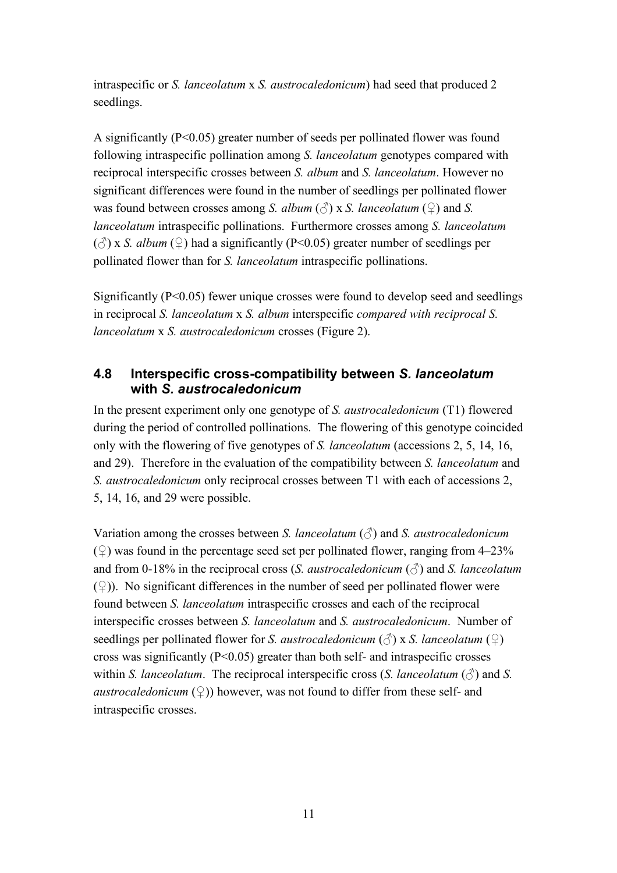intraspecific or *S. lanceolatum* x *S. austrocaledonicum*) had seed that produced 2 seedlings.

A significantly (P<0.05) greater number of seeds per pollinated flower was found following intraspecific pollination among *S. lanceolatum* genotypes compared with reciprocal interspecific crosses between *S. album* and *S. lanceolatum*. However no significant differences were found in the number of seedlings per pollinated flower was found between crosses among *S. album* ( $\Diamond$ ) x *S. lanceolatum* ( $\Diamond$ ) and *S. lanceolatum* intraspecific pollinations. Furthermore crosses among *S. lanceolatum*  $(\text{or} \beta)$  x *S. album*  $(\text{or} \beta)$  had a significantly (P<0.05) greater number of seedlings per pollinated flower than for *S. lanceolatum* intraspecific pollinations.

Significantly (P<0.05) fewer unique crosses were found to develop seed and seedlings in reciprocal *S. lanceolatum* x *S. album* interspecific *compared with reciprocal S. lanceolatum* x *S. austrocaledonicum* crosses (Figure 2).

#### **4.8 Interspecific cross-compatibility between** *S. lanceolatum*  **with** *S. austrocaledonicum*

In the present experiment only one genotype of *S. austrocaledonicum* (T1) flowered during the period of controlled pollinations. The flowering of this genotype coincided only with the flowering of five genotypes of *S. lanceolatum* (accessions 2, 5, 14, 16, and 29). Therefore in the evaluation of the compatibility between *S. lanceolatum* and *S. austrocaledonicum* only reciprocal crosses between T1 with each of accessions 2, 5, 14, 16, and 29 were possible.

Variation among the crosses between *S. lanceolatum* (♂) and *S. austrocaledonicum*  $(\circled{2})$  was found in the percentage seed set per pollinated flower, ranging from 4–23% and from 0-18% in the reciprocal cross (*S. austrocaledonicum*  $(\text{ }^{\mathcal{Z}})$  and *S. lanceolatum*  $(\circled{2})$ ). No significant differences in the number of seed per pollinated flower were found between *S. lanceolatum* intraspecific crosses and each of the reciprocal interspecific crosses between *S. lanceolatum* and *S. austrocaledonicum*. Number of seedlings per pollinated flower for *S. austrocaledonicum* ( $\hat{\beta}$ ) x *S. lanceolatum* ( $\hat{\varphi}$ ) cross was significantly  $(P<0.05)$  greater than both self- and intraspecific crosses within *S. lanceolatum*. The reciprocal interspecific cross (*S. lanceolatum*  $(\text{ }^{\mathcal{E}})$  and *S. austrocaledonicum*  $(\mathcal{Q})$  however, was not found to differ from these self- and intraspecific crosses.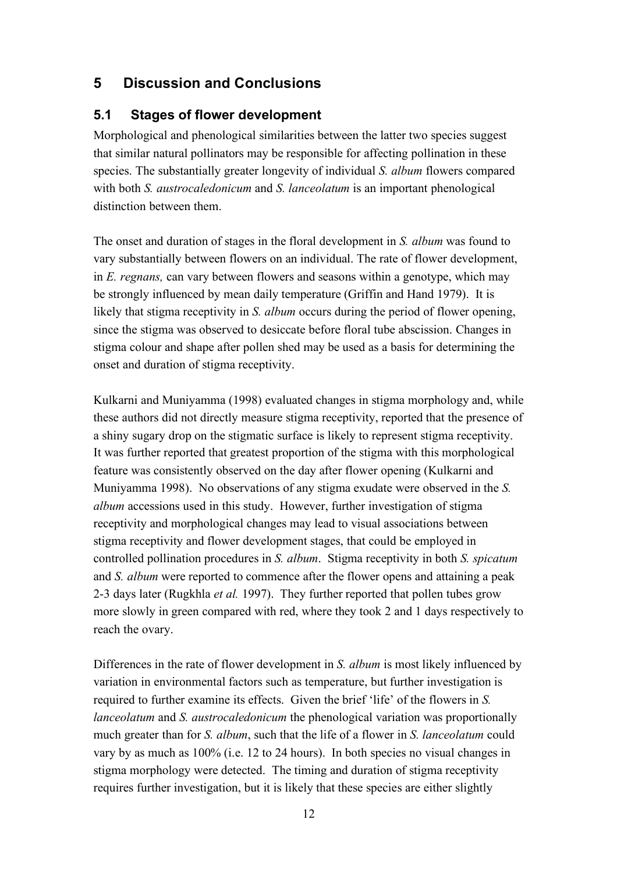# **5 Discussion and Conclusions**

### **5.1 Stages of flower development**

Morphological and phenological similarities between the latter two species suggest that similar natural pollinators may be responsible for affecting pollination in these species. The substantially greater longevity of individual *S. album* flowers compared with both *S. austrocaledonicum* and *S. lanceolatum* is an important phenological distinction between them.

The onset and duration of stages in the floral development in *S. album* was found to vary substantially between flowers on an individual. The rate of flower development, in *E. regnans,* can vary between flowers and seasons within a genotype, which may be strongly influenced by mean daily temperature (Griffin and Hand 1979). It is likely that stigma receptivity in *S. album* occurs during the period of flower opening, since the stigma was observed to desiccate before floral tube abscission. Changes in stigma colour and shape after pollen shed may be used as a basis for determining the onset and duration of stigma receptivity.

Kulkarni and Muniyamma (1998) evaluated changes in stigma morphology and, while these authors did not directly measure stigma receptivity, reported that the presence of a shiny sugary drop on the stigmatic surface is likely to represent stigma receptivity. It was further reported that greatest proportion of the stigma with this morphological feature was consistently observed on the day after flower opening (Kulkarni and Muniyamma 1998). No observations of any stigma exudate were observed in the *S. album* accessions used in this study. However, further investigation of stigma receptivity and morphological changes may lead to visual associations between stigma receptivity and flower development stages, that could be employed in controlled pollination procedures in *S. album*. Stigma receptivity in both *S. spicatum* and *S. album* were reported to commence after the flower opens and attaining a peak 2-3 days later (Rugkhla *et al.* 1997). They further reported that pollen tubes grow more slowly in green compared with red, where they took 2 and 1 days respectively to reach the ovary.

Differences in the rate of flower development in *S. album* is most likely influenced by variation in environmental factors such as temperature, but further investigation is required to further examine its effects. Given the brief 'life' of the flowers in *S. lanceolatum* and *S. austrocaledonicum* the phenological variation was proportionally much greater than for *S. album*, such that the life of a flower in *S. lanceolatum* could vary by as much as 100% (i.e. 12 to 24 hours). In both species no visual changes in stigma morphology were detected. The timing and duration of stigma receptivity requires further investigation, but it is likely that these species are either slightly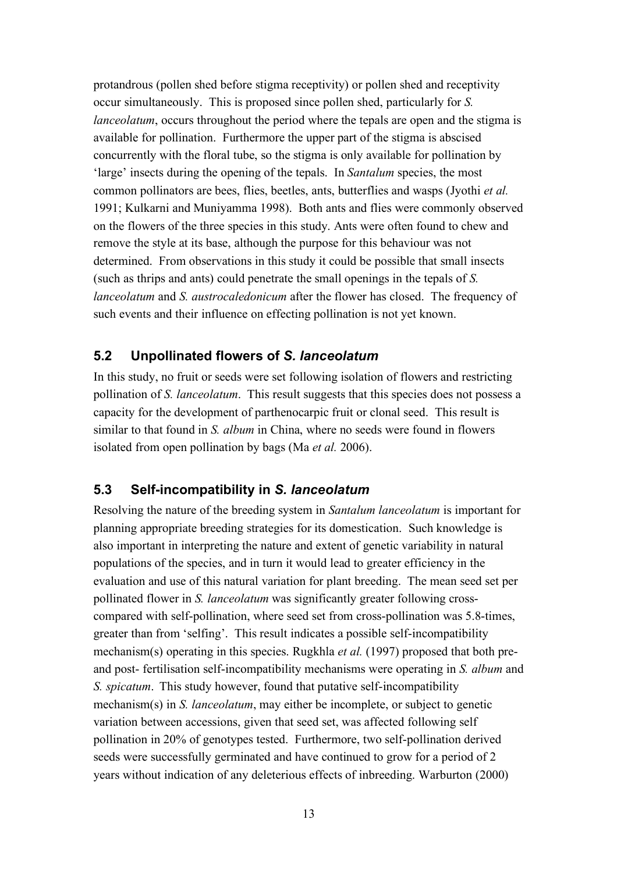protandrous (pollen shed before stigma receptivity) or pollen shed and receptivity occur simultaneously. This is proposed since pollen shed, particularly for *S. lanceolatum*, occurs throughout the period where the tepals are open and the stigma is available for pollination. Furthermore the upper part of the stigma is abscised concurrently with the floral tube, so the stigma is only available for pollination by 'large' insects during the opening of the tepals. In *Santalum* species, the most common pollinators are bees, flies, beetles, ants, butterflies and wasps (Jyothi *et al.* 1991; Kulkarni and Muniyamma 1998). Both ants and flies were commonly observed on the flowers of the three species in this study. Ants were often found to chew and remove the style at its base, although the purpose for this behaviour was not determined. From observations in this study it could be possible that small insects (such as thrips and ants) could penetrate the small openings in the tepals of *S. lanceolatum* and *S. austrocaledonicum* after the flower has closed. The frequency of such events and their influence on effecting pollination is not yet known.

#### **5.2 Unpollinated flowers of** *S. lanceolatum*

In this study, no fruit or seeds were set following isolation of flowers and restricting pollination of *S. lanceolatum*. This result suggests that this species does not possess a capacity for the development of parthenocarpic fruit or clonal seed. This result is similar to that found in *S. album* in China, where no seeds were found in flowers isolated from open pollination by bags (Ma *et al.* 2006).

#### **5.3 Self-incompatibility in** *S. lanceolatum*

Resolving the nature of the breeding system in *Santalum lanceolatum* is important for planning appropriate breeding strategies for its domestication. Such knowledge is also important in interpreting the nature and extent of genetic variability in natural populations of the species, and in turn it would lead to greater efficiency in the evaluation and use of this natural variation for plant breeding. The mean seed set per pollinated flower in *S. lanceolatum* was significantly greater following crosscompared with self-pollination, where seed set from cross-pollination was 5.8-times, greater than from 'selfing'. This result indicates a possible self-incompatibility mechanism(s) operating in this species. Rugkhla *et al.* (1997) proposed that both preand post- fertilisation self-incompatibility mechanisms were operating in *S. album* and *S. spicatum*. This study however, found that putative self-incompatibility mechanism(s) in *S. lanceolatum*, may either be incomplete, or subject to genetic variation between accessions, given that seed set, was affected following self pollination in 20% of genotypes tested. Furthermore, two self-pollination derived seeds were successfully germinated and have continued to grow for a period of 2 years without indication of any deleterious effects of inbreeding. Warburton (2000)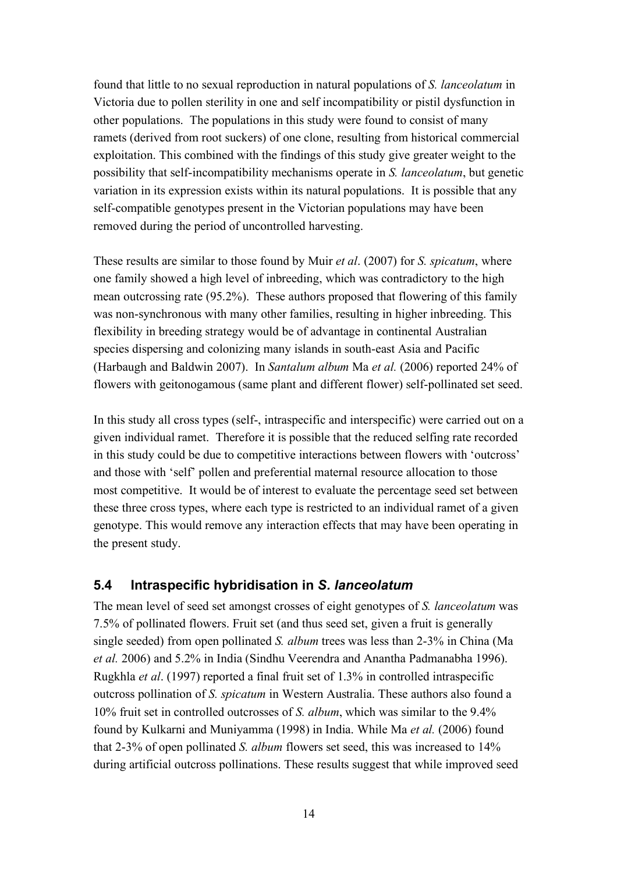found that little to no sexual reproduction in natural populations of *S. lanceolatum* in Victoria due to pollen sterility in one and self incompatibility or pistil dysfunction in other populations. The populations in this study were found to consist of many ramets (derived from root suckers) of one clone, resulting from historical commercial exploitation. This combined with the findings of this study give greater weight to the possibility that self-incompatibility mechanisms operate in *S. lanceolatum*, but genetic variation in its expression exists within its natural populations. It is possible that any self-compatible genotypes present in the Victorian populations may have been removed during the period of uncontrolled harvesting.

These results are similar to those found by Muir *et al*. (2007) for *S. spicatum*, where one family showed a high level of inbreeding, which was contradictory to the high mean outcrossing rate (95.2%). These authors proposed that flowering of this family was non-synchronous with many other families, resulting in higher inbreeding. This flexibility in breeding strategy would be of advantage in continental Australian species dispersing and colonizing many islands in south-east Asia and Pacific (Harbaugh and Baldwin 2007). In *Santalum album* Ma *et al.* (2006) reported 24% of flowers with geitonogamous (same plant and different flower) self-pollinated set seed.

In this study all cross types (self-, intraspecific and interspecific) were carried out on a given individual ramet. Therefore it is possible that the reduced selfing rate recorded in this study could be due to competitive interactions between flowers with 'outcross' and those with 'self' pollen and preferential maternal resource allocation to those most competitive. It would be of interest to evaluate the percentage seed set between these three cross types, where each type is restricted to an individual ramet of a given genotype. This would remove any interaction effects that may have been operating in the present study.

#### **5.4 Intraspecific hybridisation in** *S. lanceolatum*

The mean level of seed set amongst crosses of eight genotypes of *S. lanceolatum* was 7.5% of pollinated flowers. Fruit set (and thus seed set, given a fruit is generally single seeded) from open pollinated *S. album* trees was less than 2-3% in China (Ma *et al.* 2006) and 5.2% in India (Sindhu Veerendra and Anantha Padmanabha 1996). Rugkhla *et al*. (1997) reported a final fruit set of 1.3% in controlled intraspecific outcross pollination of *S. spicatum* in Western Australia. These authors also found a 10% fruit set in controlled outcrosses of *S. album*, which was similar to the 9.4% found by Kulkarni and Muniyamma (1998) in India. While Ma *et al.* (2006) found that 2-3% of open pollinated *S. album* flowers set seed, this was increased to 14% during artificial outcross pollinations. These results suggest that while improved seed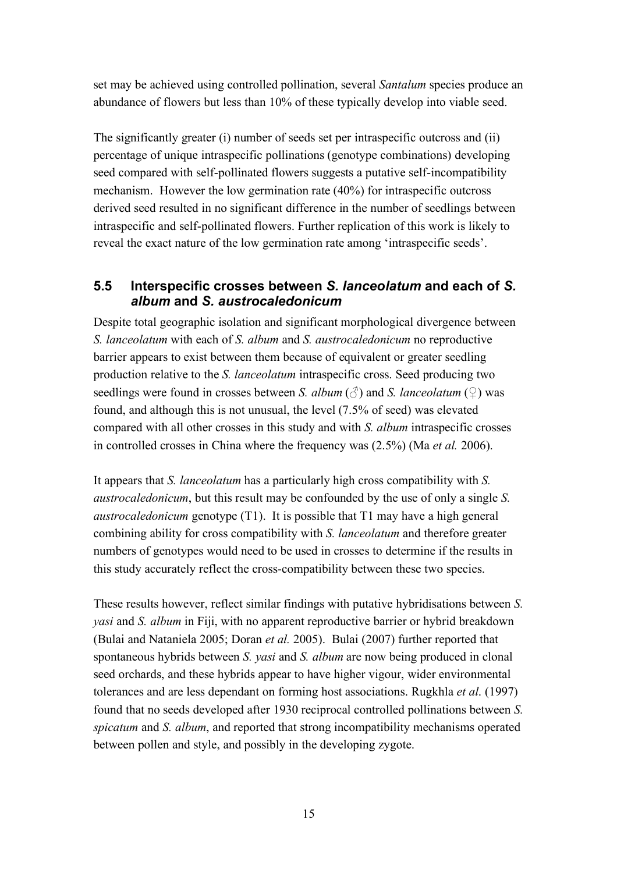set may be achieved using controlled pollination, several *Santalum* species produce an abundance of flowers but less than 10% of these typically develop into viable seed.

The significantly greater (i) number of seeds set per intraspecific outcross and (ii) percentage of unique intraspecific pollinations (genotype combinations) developing seed compared with self-pollinated flowers suggests a putative self-incompatibility mechanism. However the low germination rate (40%) for intraspecific outcross derived seed resulted in no significant difference in the number of seedlings between intraspecific and self-pollinated flowers. Further replication of this work is likely to reveal the exact nature of the low germination rate among 'intraspecific seeds'.

## **5.5 Interspecific crosses between** *S. lanceolatum* **and each of** *S. album* **and** *S. austrocaledonicum*

Despite total geographic isolation and significant morphological divergence between *S. lanceolatum* with each of *S. album* and *S. austrocaledonicum* no reproductive barrier appears to exist between them because of equivalent or greater seedling production relative to the *S. lanceolatum* intraspecific cross. Seed producing two seedlings were found in crosses between *S. album* ( $\Diamond$ ) and *S. lanceolatum* ( $\Diamond$ ) was found, and although this is not unusual, the level (7.5% of seed) was elevated compared with all other crosses in this study and with *S. album* intraspecific crosses in controlled crosses in China where the frequency was (2.5%) (Ma *et al.* 2006).

It appears that *S. lanceolatum* has a particularly high cross compatibility with *S. austrocaledonicum*, but this result may be confounded by the use of only a single *S. austrocaledonicum* genotype (T1). It is possible that T1 may have a high general combining ability for cross compatibility with *S. lanceolatum* and therefore greater numbers of genotypes would need to be used in crosses to determine if the results in this study accurately reflect the cross-compatibility between these two species.

These results however, reflect similar findings with putative hybridisations between *S. yasi* and *S. album* in Fiji, with no apparent reproductive barrier or hybrid breakdown (Bulai and Nataniela 2005; Doran *et al.* 2005). Bulai (2007) further reported that spontaneous hybrids between *S. yasi* and *S. album* are now being produced in clonal seed orchards, and these hybrids appear to have higher vigour, wider environmental tolerances and are less dependant on forming host associations. Rugkhla *et al*. (1997) found that no seeds developed after 1930 reciprocal controlled pollinations between *S. spicatum* and *S. album*, and reported that strong incompatibility mechanisms operated between pollen and style, and possibly in the developing zygote.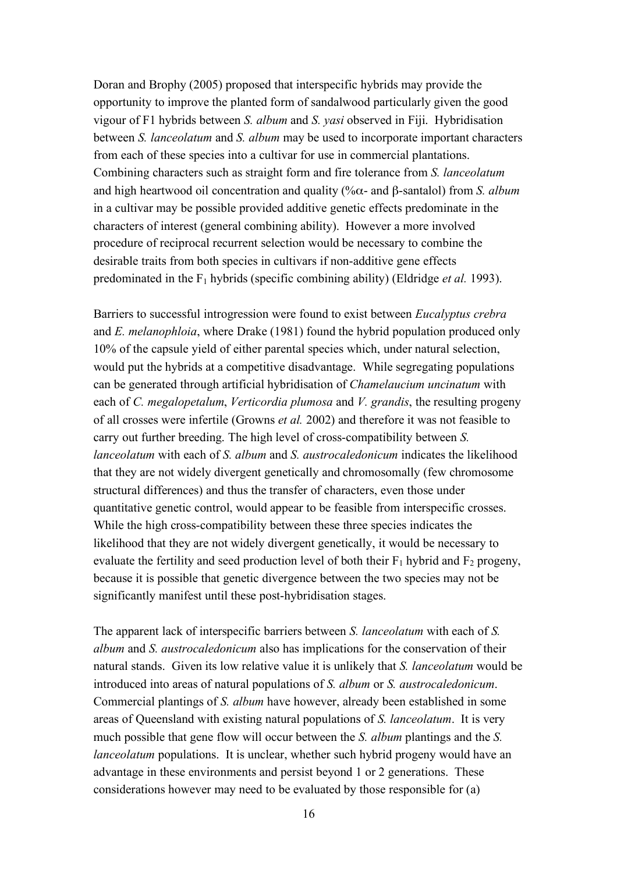Doran and Brophy (2005) proposed that interspecific hybrids may provide the opportunity to improve the planted form of sandalwood particularly given the good vigour of F1 hybrids between *S. album* and *S. yasi* observed in Fiji. Hybridisation between *S. lanceolatum* and *S. album* may be used to incorporate important characters from each of these species into a cultivar for use in commercial plantations. Combining characters such as straight form and fire tolerance from *S. lanceolatum* and high heartwood oil concentration and quality (%α- and β-santalol) from *S. album* in a cultivar may be possible provided additive genetic effects predominate in the characters of interest (general combining ability). However a more involved procedure of reciprocal recurrent selection would be necessary to combine the desirable traits from both species in cultivars if non-additive gene effects predominated in the F1 hybrids (specific combining ability) (Eldridge *et al.* 1993).

Barriers to successful introgression were found to exist between *Eucalyptus crebra* and *E. melanophloia*, where Drake (1981) found the hybrid population produced only 10% of the capsule yield of either parental species which, under natural selection, would put the hybrids at a competitive disadvantage. While segregating populations can be generated through artificial hybridisation of *Chamelaucium uncinatum* with each of *C. megalopetalum*, *Verticordia plumosa* and *V. grandis*, the resulting progeny of all crosses were infertile (Growns *et al.* 2002) and therefore it was not feasible to carry out further breeding. The high level of cross-compatibility between *S. lanceolatum* with each of *S. album* and *S. austrocaledonicum* indicates the likelihood that they are not widely divergent genetically and chromosomally (few chromosome structural differences) and thus the transfer of characters, even those under quantitative genetic control, would appear to be feasible from interspecific crosses. While the high cross-compatibility between these three species indicates the likelihood that they are not widely divergent genetically, it would be necessary to evaluate the fertility and seed production level of both their  $F_1$  hybrid and  $F_2$  progeny, because it is possible that genetic divergence between the two species may not be significantly manifest until these post-hybridisation stages.

The apparent lack of interspecific barriers between *S. lanceolatum* with each of *S. album* and *S. austrocaledonicum* also has implications for the conservation of their natural stands. Given its low relative value it is unlikely that *S. lanceolatum* would be introduced into areas of natural populations of *S. album* or *S. austrocaledonicum*. Commercial plantings of *S. album* have however, already been established in some areas of Queensland with existing natural populations of *S. lanceolatum*. It is very much possible that gene flow will occur between the *S. album* plantings and the *S. lanceolatum* populations. It is unclear, whether such hybrid progeny would have an advantage in these environments and persist beyond 1 or 2 generations. These considerations however may need to be evaluated by those responsible for (a)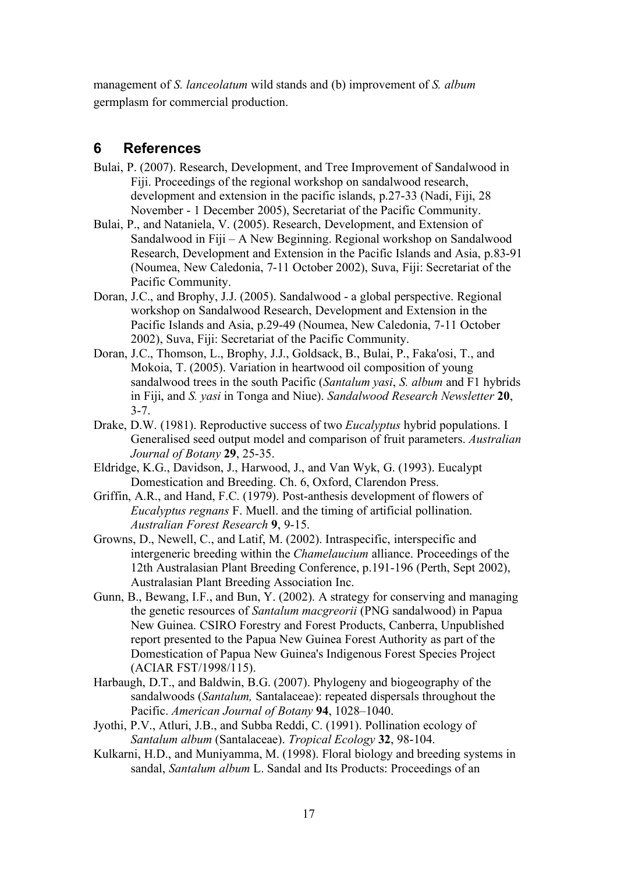management of *S. lanceolatum* wild stands and (b) improvement of *S. album* germplasm for commercial production.

# **6 References**

- Bulai, P. (2007). Research, Development, and Tree Improvement of Sandalwood in Fiji. Proceedings of the regional workshop on sandalwood research, development and extension in the pacific islands, p.27-33 (Nadi, Fiji, 28 November - 1 December 2005), Secretariat of the Pacific Community.
- Bulai, P., and Nataniela, V. (2005). Research, Development, and Extension of Sandalwood in Fiji – A New Beginning. Regional workshop on Sandalwood Research, Development and Extension in the Pacific Islands and Asia, p.83-91 (Noumea, New Caledonia, 7-11 October 2002), Suva, Fiji: Secretariat of the Pacific Community.
- Doran, J.C., and Brophy, J.J. (2005). Sandalwood a global perspective. Regional workshop on Sandalwood Research, Development and Extension in the Pacific Islands and Asia, p.29-49 (Noumea, New Caledonia, 7-11 October 2002), Suva, Fiji: Secretariat of the Pacific Community.
- Doran, J.C., Thomson, L., Brophy, J.J., Goldsack, B., Bulai, P., Faka'osi, T., and Mokoia, T. (2005). Variation in heartwood oil composition of young sandalwood trees in the south Pacific (*Santalum yasi*, *S. album* and F1 hybrids in Fiji, and *S. yasi* in Tonga and Niue). *Sandalwood Research Newsletter* **20**, 3-7.
- Drake, D.W. (1981). Reproductive success of two *Eucalyptus* hybrid populations. I Generalised seed output model and comparison of fruit parameters. *Australian Journal of Botany* **29**, 25-35.
- Eldridge, K.G., Davidson, J., Harwood, J., and Van Wyk, G. (1993). Eucalypt Domestication and Breeding. Ch. 6, Oxford, Clarendon Press.
- Griffin, A.R., and Hand, F.C. (1979). Post-anthesis development of flowers of *Eucalyptus regnans* F. Muell. and the timing of artificial pollination. *Australian Forest Research* **9**, 9-15.
- Growns, D., Newell, C., and Latif, M. (2002). Intraspecific, interspecific and intergeneric breeding within the *Chamelaucium* alliance. Proceedings of the 12th Australasian Plant Breeding Conference, p.191-196 (Perth, Sept 2002), Australasian Plant Breeding Association Inc.
- Gunn, B., Bewang, I.F., and Bun, Y. (2002). A strategy for conserving and managing the genetic resources of *Santalum macgreorii* (PNG sandalwood) in Papua New Guinea. CSIRO Forestry and Forest Products, Canberra, Unpublished report presented to the Papua New Guinea Forest Authority as part of the Domestication of Papua New Guinea's Indigenous Forest Species Project (ACIAR FST/1998/115).
- Harbaugh, D.T., and Baldwin, B.G. (2007). Phylogeny and biogeography of the sandalwoods (*Santalum,* Santalaceae): repeated dispersals throughout the Pacific. *American Journal of Botany* **94**, 1028–1040.
- Jyothi, P.V., Atluri, J.B., and Subba Reddi, C. (1991). Pollination ecology of *Santalum album* (Santalaceae). *Tropical Ecology* **32**, 98-104.
- Kulkarni, H.D., and Muniyamma, M. (1998). Floral biology and breeding systems in sandal, *Santalum album* L. Sandal and Its Products: Proceedings of an